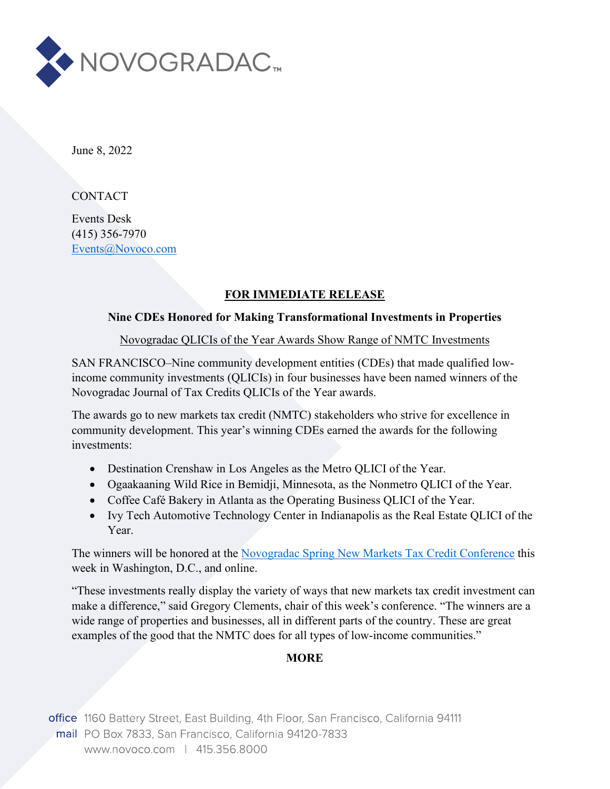

June 8, 2022

**CONTACT** 

Events Desk (415) 356-7970 [Events@Novoco.com](mailto:Events@Novoco.com)

## **FOR IMMEDIATE RELEASE**

## **Nine CDEs Honored for Making Transformational Investments in Properties**

Novogradac QLICIs of the Year Awards Show Range of NMTC Investments

SAN FRANCISCO–Nine community development entities (CDEs) that made qualified lowincome community investments (QLICIs) in four businesses have been named winners of the Novogradac Journal of Tax Credits QLICIs of the Year awards.

The awards go to new markets tax credit (NMTC) stakeholders who strive for excellence in community development. This year's winning CDEs earned the awards for the following investments:

- Destination Crenshaw in Los Angeles as the Metro QLICI of the Year.
- Ogaakaaning Wild Rice in Bemidji, Minnesota, as the Nonmetro QLICI of the Year.
- Coffee Café Bakery in Atlanta as the Operating Business QLICI of the Year.
- Ivy Tech Automotive Technology Center in Indianapolis as the Real Estate QLICI of the Year.

The winners will be honored at the [Novogradac Spring New Markets Tax Credit Conference](https://www.novoco.com/events/novogradac-2022-spring-new-markets-tax-credit-conference-0) this week in Washington, D.C., and online.

"These investments really display the variety of ways that new markets tax credit investment can make a difference," said Gregory Clements, chair of this week's conference. "The winners are a wide range of properties and businesses, all in different parts of the country. These are great examples of the good that the NMTC does for all types of low-income communities."

## **MORE**